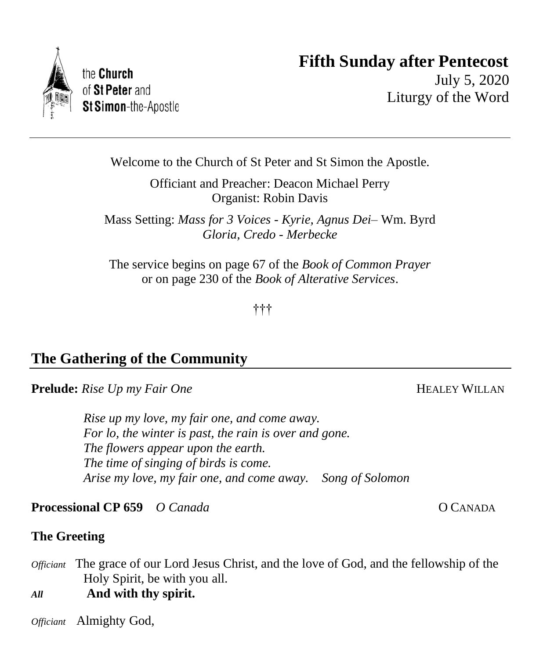

# **Fifth Sunday after Pentecost**

July 5, 2020 Liturgy of the Word

Welcome to the Church of St Peter and St Simon the Apostle.

Officiant and Preacher: Deacon Michael Perry Organist: Robin Davis

Mass Setting: *Mass for 3 Voices - Kyrie, Agnus Dei*– Wm. Byrd *Gloria, Credo - Merbecke*

The service begins on page 67 of the *Book of Common Prayer* or on page 230 of the *Book of Alterative Services*.

†††

# **The Gathering of the Community**

**Prelude:** *Rise Up my Fair One* HEALEY WILLAN

*Rise up my love, my fair one, and come away. For lo, the winter is past, the rain is over and gone. The flowers appear upon the earth. The time of singing of birds is come. Arise my love, my fair one, and come away. Song of Solomon*

# **Processional CP 659** *O Canada* **O CANADA O CANADA**

# **The Greeting**

- *Officiant* The grace of our Lord Jesus Christ, and the love of God, and the fellowship of the Holy Spirit, be with you all.
- *All* **And with thy spirit.**

*Officiant* Almighty God,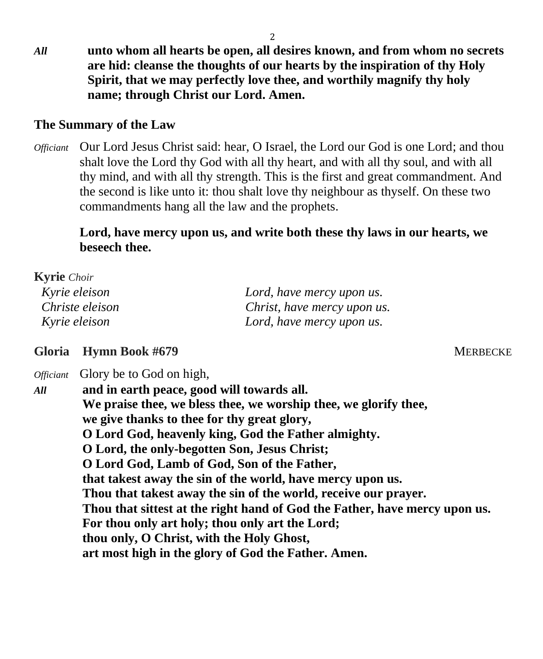*All* **unto whom all hearts be open, all desires known, and from whom no secrets are hid: cleanse the thoughts of our hearts by the inspiration of thy Holy Spirit, that we may perfectly love thee, and worthily magnify thy holy name; through Christ our Lord. Amen.**

# **The Summary of the Law**

*Officiant* Our Lord Jesus Christ said: hear, O Israel, the Lord our God is one Lord; and thou shalt love the Lord thy God with all thy heart, and with all thy soul, and with all thy mind, and with all thy strength. This is the first and great commandment. And the second is like unto it: thou shalt love thy neighbour as thyself. On these two commandments hang all the law and the prophets.

# **Lord, have mercy upon us, and write both these thy laws in our hearts, we beseech thee.**

**Kyrie** *Choir*

| Kyrie eleison   | Lord, have mercy upon us.   |
|-----------------|-----------------------------|
| Christe eleison | Christ, have mercy upon us. |
| Kyrie eleison   | Lord, have mercy upon us.   |

# **Gloria Hymn Book #679** MERBECKE

*Officiant* Glory be to God on high,

*All* **and in earth peace, good will towards all. We praise thee, we bless thee, we worship thee, we glorify thee, we give thanks to thee for thy great glory, O Lord God, heavenly king, God the Father almighty. O Lord, the only-begotten Son, Jesus Christ; O Lord God, Lamb of God, Son of the Father, that takest away the sin of the world, have mercy upon us. Thou that takest away the sin of the world, receive our prayer. Thou that sittest at the right hand of God the Father, have mercy upon us. For thou only art holy; thou only art the Lord; thou only, O Christ, with the Holy Ghost, art most high in the glory of God the Father. Amen.**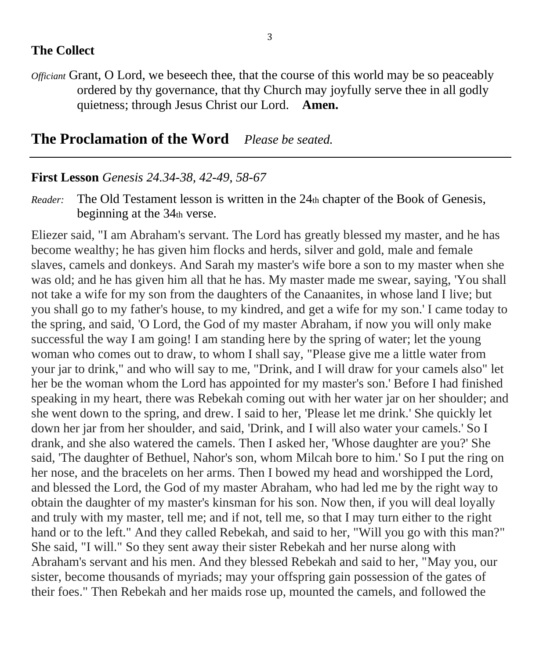#### **The Collect**

*Officiant* Grant, O Lord, we beseech thee, that the course of this world may be so peaceably ordered by thy governance, that thy Church may joyfully serve thee in all godly quietness; through Jesus Christ our Lord. **Amen.**

# **The Proclamation of the Word** *Please be seated.*

# **First Lesson** *Genesis 24.34-38, 42-49, 58-67*

*Reader:* The Old Testament lesson is written in the 24th chapter of the Book of Genesis, beginning at the 34th verse.

Eliezer said, "I am Abraham's servant. The Lord has greatly blessed my master, and he has become wealthy; he has given him flocks and herds, silver and gold, male and female slaves, camels and donkeys. And Sarah my master's wife bore a son to my master when she was old; and he has given him all that he has. My master made me swear, saying, 'You shall not take a wife for my son from the daughters of the Canaanites, in whose land I live; but you shall go to my father's house, to my kindred, and get a wife for my son.' I came today to the spring, and said, 'O Lord, the God of my master Abraham, if now you will only make successful the way I am going! I am standing here by the spring of water; let the young woman who comes out to draw, to whom I shall say, "Please give me a little water from your jar to drink," and who will say to me, "Drink, and I will draw for your camels also" let her be the woman whom the Lord has appointed for my master's son.' Before I had finished speaking in my heart, there was Rebekah coming out with her water jar on her shoulder; and she went down to the spring, and drew. I said to her, 'Please let me drink.' She quickly let down her jar from her shoulder, and said, 'Drink, and I will also water your camels.' So I drank, and she also watered the camels. Then I asked her, 'Whose daughter are you?' She said, 'The daughter of Bethuel, Nahor's son, whom Milcah bore to him.' So I put the ring on her nose, and the bracelets on her arms. Then I bowed my head and worshipped the Lord, and blessed the Lord, the God of my master Abraham, who had led me by the right way to obtain the daughter of my master's kinsman for his son. Now then, if you will deal loyally and truly with my master, tell me; and if not, tell me, so that I may turn either to the right hand or to the left." And they called Rebekah, and said to her, "Will you go with this man?" She said, "I will." So they sent away their sister Rebekah and her nurse along with Abraham's servant and his men. And they blessed Rebekah and said to her, "May you, our sister, become thousands of myriads; may your offspring gain possession of the gates of their foes." Then Rebekah and her maids rose up, mounted the camels, and followed the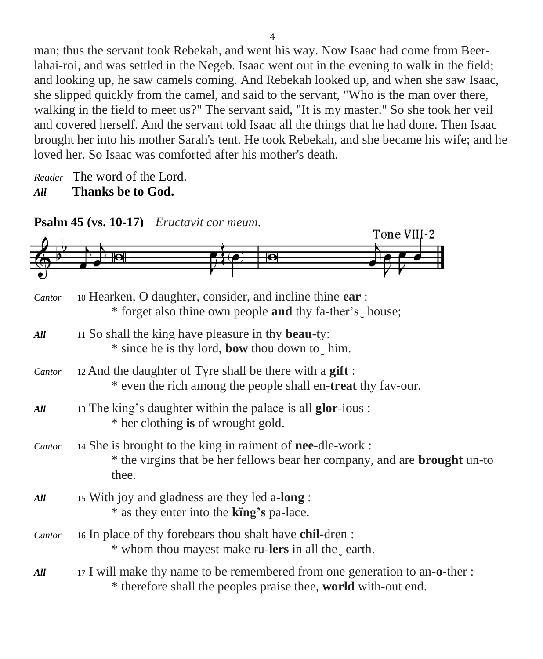man; thus the servant took Rebekah, and went his way. Now Isaac had come from Beerlahai-roi, and was settled in the Negeb. Isaac went out in the evening to walk in the field; and looking up, he saw camels coming. And Rebekah looked up, and when she saw Isaac, she slipped quickly from the camel, and said to the servant, "Who is the man over there, walking in the field to meet us?" The servant said, "It is my master." So she took her veil and covered herself. And the servant told Isaac all the things that he had done. Then Isaac brought her into his mother Sarah's tent. He took Rebekah, and she became his wife; and he loved her. So Isaac was comforted after his mother's death.

*Reader* The word of the Lord. *All* **Thanks be to God.**

**Psalm 45 (vs. 10-17)** *Eructavit cor meum.*

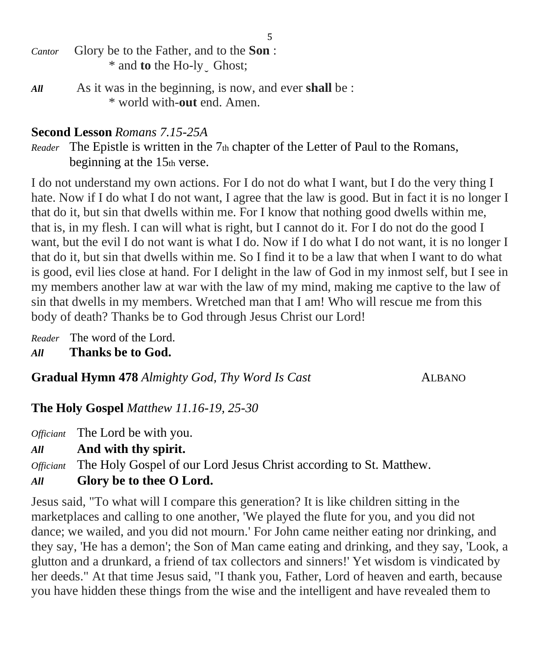| Cantor | Glory be to the Father, and to the <b>Son</b> : |  |
|--------|-------------------------------------------------|--|
|        | * and <b>to</b> the Ho-ly Ghost;                |  |

*All* As it was in the beginning, is now, and ever **shall** be : \* world with-**out** end. Amen.

# **Second Lesson** *Romans 7.15-25A*

*Reader* The Epistle is written in the 7th chapter of the Letter of Paul to the Romans, beginning at the 15th verse.

I do not understand my own actions. For I do not do what I want, but I do the very thing I hate. Now if I do what I do not want, I agree that the law is good. But in fact it is no longer I that do it, but sin that dwells within me. For I know that nothing good dwells within me, that is, in my flesh. I can will what is right, but I cannot do it. For I do not do the good I want, but the evil I do not want is what I do. Now if I do what I do not want, it is no longer I that do it, but sin that dwells within me. So I find it to be a law that when I want to do what is good, evil lies close at hand. For I delight in the law of God in my inmost self, but I see in my members another law at war with the law of my mind, making me captive to the law of sin that dwells in my members. Wretched man that I am! Who will rescue me from this body of death? Thanks be to God through Jesus Christ our Lord!

*Reader* The word of the Lord. *All* **Thanks be to God.**

**Gradual Hymn 478** *Almighty God, Thy Word Is Cast*ALBANO

# **The Holy Gospel** *Matthew 11.16-19, 25-30*

*Officiant* The Lord be with you. *All* **And with thy spirit.** *Officiant* The Holy Gospel of our Lord Jesus Christ according to St. Matthew. *All* **Glory be to thee O Lord.**

Jesus said, "To what will I compare this generation? It is like children sitting in the marketplaces and calling to one another, 'We played the flute for you, and you did not dance; we wailed, and you did not mourn.' For John came neither eating nor drinking, and they say, 'He has a demon'; the Son of Man came eating and drinking, and they say, 'Look, a glutton and a drunkard, a friend of tax collectors and sinners!' Yet wisdom is vindicated by her deeds." At that time Jesus said, "I thank you, Father, Lord of heaven and earth, because you have hidden these things from the wise and the intelligent and have revealed them to

5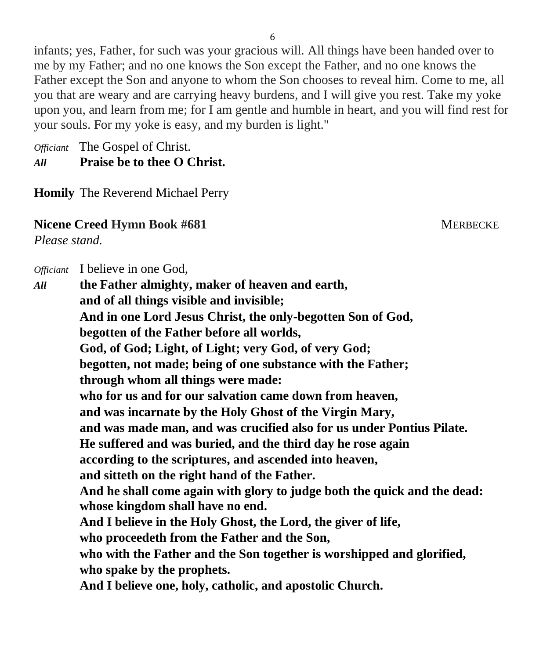infants; yes, Father, for such was your gracious will. All things have been handed over to me by my Father; and no one knows the Son except the Father, and no one knows the Father except the Son and anyone to whom the Son chooses to reveal him. Come to me, all you that are weary and are carrying heavy burdens, and I will give you rest. Take my yoke upon you, and learn from me; for I am gentle and humble in heart, and you will find rest for your souls. For my yoke is easy, and my burden is light."

*Officiant* The Gospel of Christ. *All* **Praise be to thee O Christ.**

**Homily** The Reverend Michael Perry

# **Nicene Creed Hymn Book #681** MERBECKE

*Please stand.*

*Officiant* I believe in one God,

*All* **the Father almighty, maker of heaven and earth, and of all things visible and invisible; And in one Lord Jesus Christ, the only-begotten Son of God, begotten of the Father before all worlds, God, of God; Light, of Light; very God, of very God; begotten, not made; being of one substance with the Father; through whom all things were made: who for us and for our salvation came down from heaven, and was incarnate by the Holy Ghost of the Virgin Mary, and was made man, and was crucified also for us under Pontius Pilate. He suffered and was buried, and the third day he rose again according to the scriptures, and ascended into heaven, and sitteth on the right hand of the Father. And he shall come again with glory to judge both the quick and the dead: whose kingdom shall have no end. And I believe in the Holy Ghost, the Lord, the giver of life, who proceedeth from the Father and the Son, who with the Father and the Son together is worshipped and glorified, who spake by the prophets. And I believe one, holy, catholic, and apostolic Church.**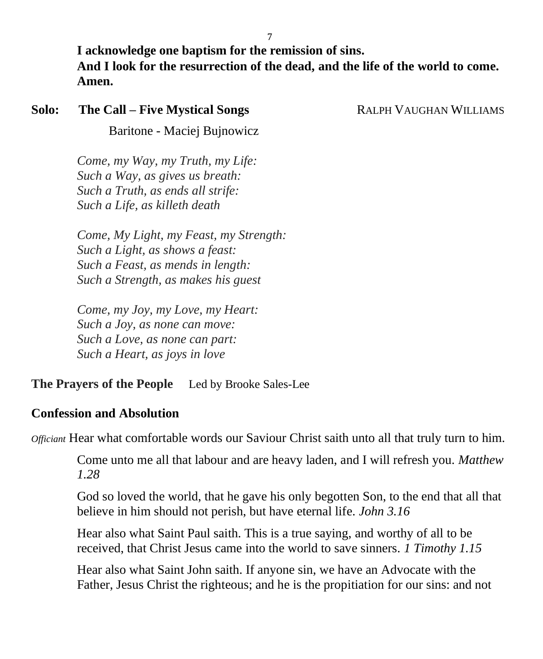7

**I acknowledge one baptism for the remission of sins. And I look for the resurrection of the dead, and the life of the world to come. Amen.**

### **Solo: The Call – Five Mystical Songs RALPH VAUGHAN WILLIAMS**

Baritone - Maciej Bujnowicz

*Come, my Way, my Truth, my Life: Such a Way, as gives us breath: Such a Truth, as ends all strife: Such a Life, as killeth death*

*Come, My Light, my Feast, my Strength: Such a Light, as shows a feast: Such a Feast, as mends in length: Such a Strength, as makes his guest*

*Come, my Joy, my Love, my Heart: Such a Joy, as none can move: Such a Love, as none can part: Such a Heart, as joys in love*

**The Prayers of the People** Led by Brooke Sales-Lee

# **Confession and Absolution**

*Officiant* Hear what comfortable words our Saviour Christ saith unto all that truly turn to him.

Come unto me all that labour and are heavy laden, and I will refresh you. *Matthew 1.28*

God so loved the world, that he gave his only begotten Son, to the end that all that believe in him should not perish, but have eternal life. *John 3.16*

Hear also what Saint Paul saith. This is a true saying, and worthy of all to be received, that Christ Jesus came into the world to save sinners. *1 Timothy 1.15*

Hear also what Saint John saith. If anyone sin, we have an Advocate with the Father, Jesus Christ the righteous; and he is the propitiation for our sins: and not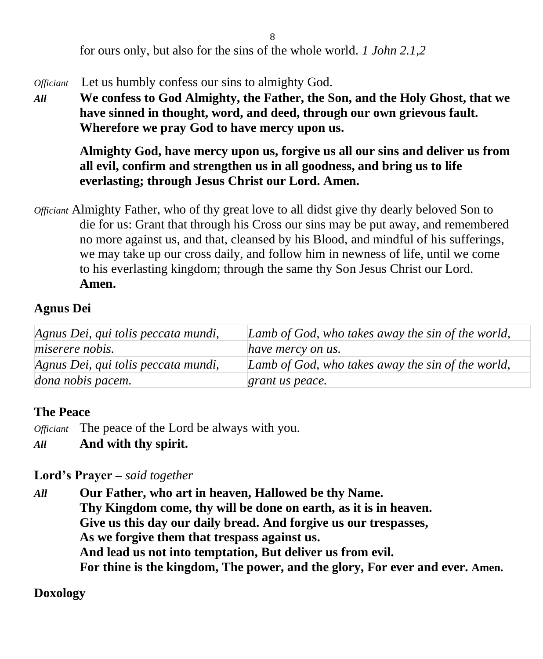8

for ours only, but also for the sins of the whole world. *1 John 2.1,2*

- *Officiant* Let us humbly confess our sins to almighty God.
- *All* **We confess to God Almighty, the Father, the Son, and the Holy Ghost, that we have sinned in thought, word, and deed, through our own grievous fault. Wherefore we pray God to have mercy upon us.**

**Almighty God, have mercy upon us, forgive us all our sins and deliver us from all evil, confirm and strengthen us in all goodness, and bring us to life everlasting; through Jesus Christ our Lord. Amen.**

*Officiant* Almighty Father, who of thy great love to all didst give thy dearly beloved Son to die for us: Grant that through his Cross our sins may be put away, and remembered no more against us, and that, cleansed by his Blood, and mindful of his sufferings, we may take up our cross daily, and follow him in newness of life, until we come to his everlasting kingdom; through the same thy Son Jesus Christ our Lord. **Amen.**

# **Agnus Dei**

| Agnus Dei, qui tolis peccata mundi, | Lamb of God, who takes away the sin of the world, |
|-------------------------------------|---------------------------------------------------|
| <i>miserere nobis.</i>              | have mercy on us.                                 |
| Agnus Dei, qui tolis peccata mundi, | Lamb of God, who takes away the sin of the world, |
| dona nobis pacem.                   | grant us peace.                                   |

# **The Peace**

*Officiant* The peace of the Lord be always with you.

*All* **And with thy spirit.**

**Lord's Prayer –** *said together* 

*All* **Our Father, who art in heaven, Hallowed be thy Name. Thy Kingdom come, thy will be done on earth, as it is in heaven. Give us this day our daily bread. And forgive us our trespasses, As we forgive them that trespass against us. And lead us not into temptation, But deliver us from evil. For thine is the kingdom, The power, and the glory, For ever and ever. Amen.**

# **Doxology**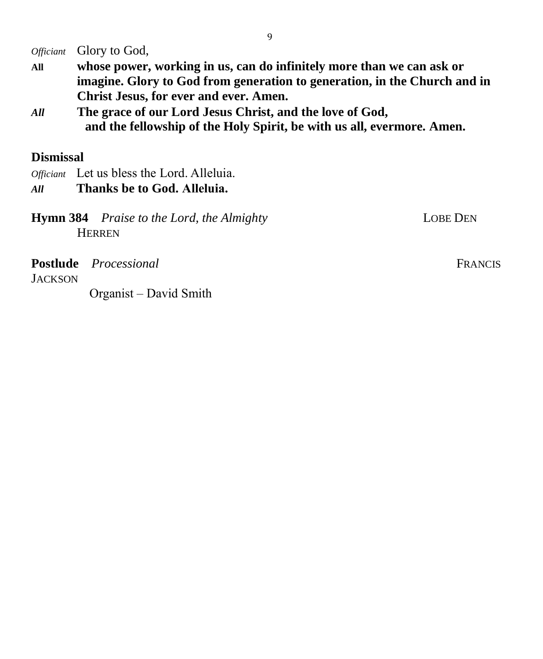*Officiant* Glory to God,

- **All whose power, working in us, can do infinitely more than we can ask or imagine. Glory to God from generation to generation, in the Church and in Christ Jesus, for ever and ever. Amen.**
- *All* **The grace of our Lord Jesus Christ, and the love of God,**  **and the fellowship of the Holy Spirit, be with us all, evermore. Amen.**

### **Dismissal**

- *Officiant* Let us bless the Lord. Alleluia. *All* **Thanks be to God. Alleluia.**
- **Hymn 384** *Praise to the Lord, the Almighty* **LOBE DEN HERREN**

|  | <b>Postlude</b> Processional | FRANCIS |
|--|------------------------------|---------|
|--|------------------------------|---------|

### **JACKSON**

Organist – David Smith